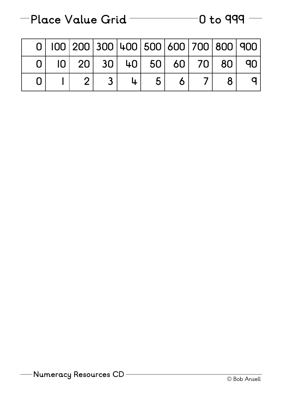| $-$ Place Value Grid |  | $-$ 0 to 999 $-$ |
|----------------------|--|------------------|
|                      |  |                  |

|  | 0   100   200   300   400   500   600   700   800   900 |  |   |  |  |
|--|---------------------------------------------------------|--|---|--|--|
|  | $ 0 $ 20 30 40 50 60 70 80 90                           |  |   |  |  |
|  |                                                         |  | 5 |  |  |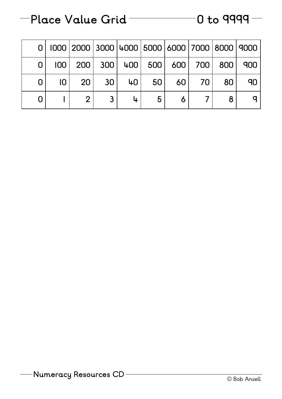## **Place Value Grid 0 to 9999**

|   | 0   1000   2000   3000   4000   5000   6000   7000   8000   9000 |       |    |                |          |    |    |
|---|------------------------------------------------------------------|-------|----|----------------|----------|----|----|
|   | $ 00 $ 200 300 400 500 600 700 800 900                           |       |    |                |          |    |    |
| 0 |                                                                  | 20 30 | 40 |                | 50 60 70 | 80 | 90 |
|   |                                                                  |       |    | 5 <sup>1</sup> |          |    |    |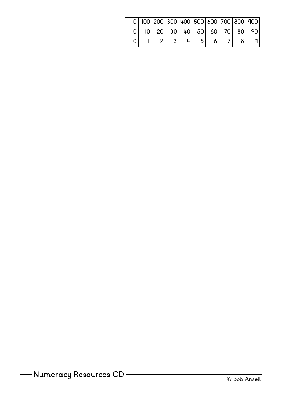|  |  |  |  | $0 100 200 300 400 500 600 700 800 900 $ |      |
|--|--|--|--|------------------------------------------|------|
|  |  |  |  | $ 0 $ 20 30 40 50 60 70 80               | ∣ q∪ |
|  |  |  |  |                                          |      |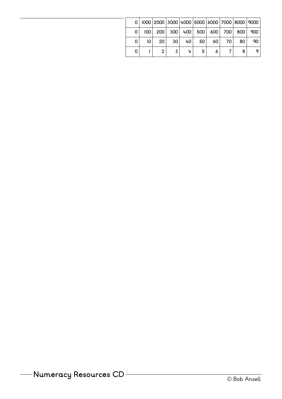|      |    |                 |                 |                 |       |    |    | 1000   2000   3000   4000   5000   6000   7000   8000   9000 |
|------|----|-----------------|-----------------|-----------------|-------|----|----|--------------------------------------------------------------|
| 1001 |    |                 |                 |                 |       |    |    | 200 300 400 500 600 700 800 900                              |
| 10.  | 20 | 30 <sup>1</sup> | 40 <sub>1</sub> | 50 <sub>1</sub> | -60 l | 70 | 80 | ٩O                                                           |
|      |    |                 |                 | 5               |       |    |    |                                                              |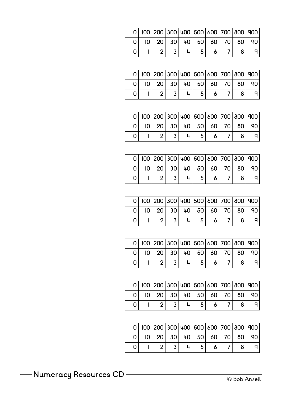|  | $0$   100   200   300   400   500   600   700   800   900 |  |  |  |    |
|--|-----------------------------------------------------------|--|--|--|----|
|  | $ 0 $ 20 30 40 50 60 70 80                                |  |  |  | 90 |
|  |                                                           |  |  |  |    |

|  | 100 200 300 400 500 600 700 800 900 |  |  |  |    |
|--|-------------------------------------|--|--|--|----|
|  | $ 0 $ 20 30 40 50 60 70 80          |  |  |  | ۹N |
|  |                                     |  |  |  |    |

|  |  |  | 0 100 200 300 400 500 600 700 800 900 |  |    |
|--|--|--|---------------------------------------|--|----|
|  |  |  | $ 0 $ 20 30 40 50 60 70 80            |  | 90 |
|  |  |  |                                       |  |    |

|  | $0$   100   200   300   400   500   600   700   800   900 |  |  |                   |    |
|--|-----------------------------------------------------------|--|--|-------------------|----|
|  | $ 0 $ 20                                                  |  |  | 30 40 50 60 70 80 | 90 |
|  |                                                           |  |  |                   |    |

|  | 0   100   200   300   400   500   600   700   800   900 |  |  |  |  |
|--|---------------------------------------------------------|--|--|--|--|
|  | $ 0 $ 20 30 40 50 60 70 80 90                           |  |  |  |  |
|  |                                                         |  |  |  |  |

|  | $0$   100   200   300   400   500   600   700   800   900 |  |  |  |  |
|--|-----------------------------------------------------------|--|--|--|--|
|  | $ 0 $ 20 30 40 50 60 70 80 90                             |  |  |  |  |
|  |                                                           |  |  |  |  |

|  | $0$   100   200   300   400   500   600   700   800   900 |  |  |  |  |
|--|-----------------------------------------------------------|--|--|--|--|
|  | $ 0 $ 20 30 40 50 60 70 80                                |  |  |  |  |
|  |                                                           |  |  |  |  |

|  |  |   |   |  | $0 100 200 300 400 500 600 700 800 900 $ |
|--|--|---|---|--|------------------------------------------|
|  |  |   |   |  | $ 0 $ 20 30 40 50 60 70 80 90            |
|  |  | 5 | 6 |  |                                          |